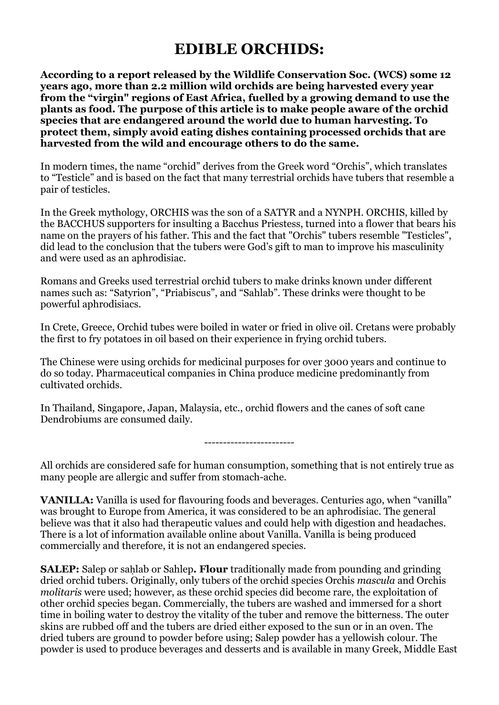## **EDIBLE ORCHIDS:**

**According to a report released by the Wildlife Conservation Soc. (WCS) some 12 years ago, more than 2.2 million wild orchids are being harvested every year from the "virgin" regions of East Africa, fuelled by a growing demand to use the plants as food. The purpose of this article is to make people aware of the orchid species that are endangered around the world due to human harvesting. To protect them, simply avoid eating dishes containing processed orchids that are harvested from the wild and encourage others to do the same.**

In modern times, the name "orchid" derives from the Greek word "Orchis", which translates to "Testicle" and is based on the fact that many terrestrial orchids have tubers that resemble a pair of testicles.

In the Greek mythology, ORCHIS was the son of a SATYR and a NYNPH. ORCHIS, killed by the BACCHUS supporters for insulting a Bacchus Priestess, turned into a flower that bears his name on the prayers of his father. This and the fact that "Orchis" tubers resemble "Testicles", did lead to the conclusion that the tubers were God's gift to man to improve his masculinity and were used as an aphrodisiac.

Romans and Greeks used terrestrial orchid tubers to make drinks known under different names such as: "Satyrion", "Priabiscus", and "Sahlab". These drinks were thought to be powerful aphrodisiacs.

In Crete, Greece, Orchid tubes were boiled in water or fried in olive oil. Cretans were probably the first to fry potatoes in oil based on their experience in frying orchid tubers.

The Chinese were using orchids for medicinal purposes for over 3000 years and continue to do so today. Pharmaceutical companies in China produce medicine predominantly from cultivated orchids.

In Thailand, Singapore, Japan, Malaysia, etc., orchid flowers and the canes of soft cane Dendrobiums are consumed daily.

------------------------

All orchids are considered safe for human consumption, something that is not entirely true as many people are allergic and suffer from stomach-ache.

**VANILLA:** Vanilla is used for flavouring foods and beverages. Centuries ago, when "vanilla" was brought to Europe from America, it was considered to be an aphrodisiac. The general believe was that it also had therapeutic values and could help with digestion and headaches. There is a lot of information available online about Vanilla. Vanilla is being produced commercially and therefore, it is not an endangered species.

**SALEP:** Salep or sahlab or Sahlep. Flour traditionally made from pounding and grinding dried orchid tubers. Originally, only tubers of the orchid species Orchis *mascula* and Orchis *molitaris* were used; however, as these orchid species did become rare, the exploitation of other orchid species began. Commercially, the tubers are washed and immersed for a short time in boiling water to destroy the vitality of the tuber and remove the bitterness. The outer skins are rubbed off and the tubers are dried either exposed to the sun or in an oven. The dried tubers are ground to powder before using; Salep powder has a yellowish colour. The powder is used to produce beverages and desserts and is available in many Greek, Middle East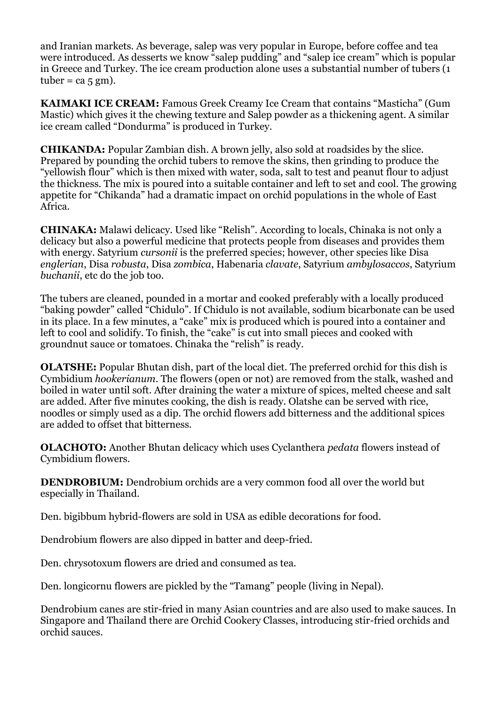and Iranian markets. As beverage, salep was very popular in Europe, before coffee and tea were introduced. As desserts we know "salep pudding" and "salep ice cream" which is popular in Greece and Turkey. The ice cream production alone uses a substantial number of tubers (1 tuber =  $ca$  5 gm).

**KAIMAKI ICE CREAM:** Famous Greek Creamy Ice Cream that contains "Masticha" (Gum Mastic) which gives it the chewing texture and Salep powder as a thickening agent. A similar ice cream called "Dondurma" is produced in Turkey.

**CHIKANDA:** Popular Zambian dish. A brown jelly, also sold at roadsides by the slice. Prepared by pounding the orchid tubers to remove the skins, then grinding to produce the "yellowish flour" which is then mixed with water, soda, salt to test and peanut flour to adjust the thickness. The mix is poured into a suitable container and left to set and cool. The growing appetite for "Chikanda" had a dramatic impact on orchid populations in the whole of East Africa.

**CHINAKA:** Malawi delicacy. Used like "Relish". According to locals, Chinaka is not only a delicacy but also a powerful medicine that protects people from diseases and provides them with energy. Satyrium *cursonii* is the preferred species; however, other species like Disa *englerian*, Disa *robusta*, Disa *zombica*, Habenaria *clavate*, Satyrium *ambylosaccos*, Satyrium *buchanii*, etc do the job too.

The tubers are cleaned, pounded in a mortar and cooked preferably with a locally produced "baking powder" called "Chidulo". If Chidulo is not available, sodium bicarbonate can be used in its place. In a few minutes, a "cake" mix is produced which is poured into a container and left to cool and solidify. To finish, the "cake" is cut into small pieces and cooked with groundnut sauce or tomatoes. Chinaka the "relish" is ready.

**OLATSHE:** Popular Bhutan dish, part of the local diet. The preferred orchid for this dish is Cymbidium *hookerianum*. The flowers (open or not) are removed from the stalk, washed and boiled in water until soft. After draining the water a mixture of spices, melted cheese and salt are added. After five minutes cooking, the dish is ready. Olatshe can be served with rice, noodles or simply used as a dip. The orchid flowers add bitterness and the additional spices are added to offset that bitterness.

**OLACHOTO:** Another Bhutan delicacy which uses Cyclanthera *pedata* flowers instead of Cymbidium flowers.

**DENDROBIUM:** Dendrobium orchids are a very common food all over the world but especially in Thailand.

Den. bigibbum hybrid-flowers are sold in USA as edible decorations for food.

Dendrobium flowers are also dipped in batter and deep-fried.

Den. chrysotoxum flowers are dried and consumed as tea.

Den. longicornu flowers are pickled by the "Tamang" people (living in Nepal).

Dendrobium canes are stir-fried in many Asian countries and are also used to make sauces. In Singapore and Thailand there are Orchid Cookery Classes, introducing stir-fried orchids and orchid sauces.